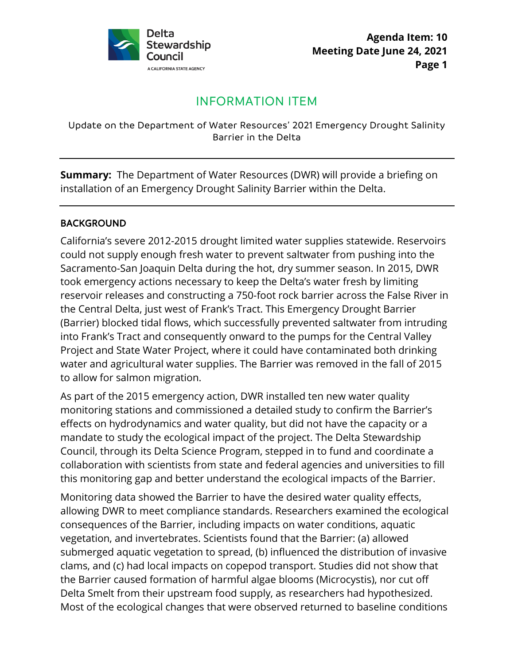

# INFORMATION ITEM

#### Update on the Department of Water Resources' 2021 Emergency Drought Salinity Barrier in the Delta

 installation of an Emergency Drought Salinity Barrier within the Delta. **Summary:** The Department of Water Resources (DWR) will provide a briefing on

#### BACKGROUND

California's severe 2012-2015 drought limited water supplies statewide. Reservoirs could not supply enough fresh water to prevent saltwater from pushing into the Sacramento-San Joaquin Delta during the hot, dry summer season. In 2015, DWR took emergency actions necessary to keep the Delta's water fresh by limiting reservoir releases and constructing a 750-foot rock barrier across the False River in the Central Delta, just west of Frank's Tract. This Emergency Drought Barrier (Barrier) blocked tidal flows, which successfully prevented saltwater from intruding into Frank's Tract and consequently onward to the pumps for the Central Valley Project and State Water Project, where it could have contaminated both drinking water and agricultural water supplies. The Barrier was removed in the fall of 2015 to allow for salmon migration.

 effects on hydrodynamics and water quality, but did not have the capacity or a this monitoring gap and better understand the ecological impacts of the Barrier. As part of the 2015 emergency action, DWR installed ten new water quality monitoring stations and commissioned a detailed study to confirm the Barrier's mandate to study the ecological impact of the project. The Delta Stewardship Council, through its Delta Science Program, stepped in to fund and coordinate a collaboration with scientists from state and federal agencies and universities to fill

 submerged aquatic vegetation to spread, (b) influenced the distribution of invasive Monitoring data showed the Barrier to have the desired water quality effects, allowing DWR to meet compliance standards. Researchers examined the ecological consequences of the Barrier, including impacts on water conditions, aquatic vegetation, and invertebrates. Scientists found that the Barrier: (a) allowed clams, and (c) had local impacts on copepod transport. Studies did not show that the Barrier caused formation of harmful algae blooms (Microcystis), nor cut off Delta Smelt from their upstream food supply, as researchers had hypothesized. Most of the ecological changes that were observed returned to baseline conditions